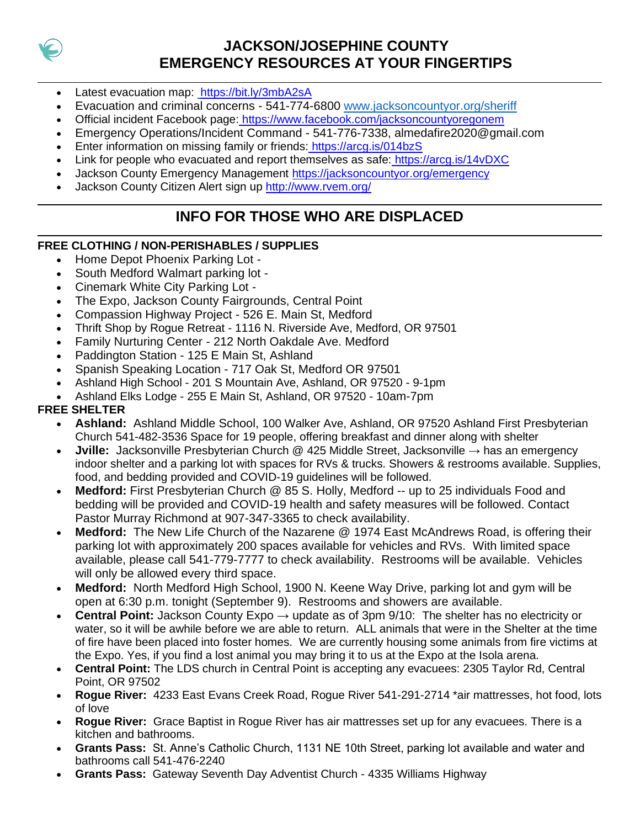

# **JACKSON/JOSEPHINE COUNTY EMERGENCY RESOURCES AT YOUR FINGERTIPS**

- Latest evacuation map:[https://bit.ly/3mbA2sA](https://www.google.com/url?q=https://www.google.com/url?q%3Dhttps://bit.ly/3mbA2sA%26amp;sa%3DD%26amp;ust%3D1600106538447000%26amp;usg%3DAOvVaw3CzujNW4-wrTv84zGqFfOt&sa=D&ust=1600106538493000&usg=AFQjCNHxJud72cP7z_FJVM0kSW5H_WD_LA)
- Evacuation and criminal concerns 541-774-6800 [www.jacksoncountyor.org/sheriff](http://www.jacksoncountyor.org/sheriff)
- Official incident Facebook page[:](https://www.google.com/url?q=https://www.google.com/url?q%3Dhttps://www.facebook.com/jacksoncountyoregonem/?__cft__%255B0%255D%253DAZU3IuVdZh78Ns1ts1bw4iSvNIIupr3qFl6oNbc3UWNqjFEpcTvBRh9SEv0sPGDZ-1kwrfYpB6z49ckMoZm22GJmXXoR8fOljMg60o81pntyqesrQx1uAcN4iebWmrtjZRIZYst5qCqrIwikMlSntW_0P44SYnPpW5gno7ZV87B1mA%2526__tn__%253DkK-R%26amp;sa%3DD%26amp;ust%3D1600106538448000%26amp;usg%3DAOvVaw2jUdo67kJdEr3zuEmVsQzv&sa=D&ust=1600106538493000&usg=AFQjCNGlc4wW9empzbU1DG0rdJdFIG2o1A) [https://www.facebook.com/jacksoncountyoregonem](https://www.google.com/url?q=https://www.google.com/url?q%3Dhttps://www.facebook.com/jacksoncountyoregonem%26amp;sa%3DD%26amp;ust%3D1600106538449000%26amp;usg%3DAOvVaw25iaFG1iI50SDXvKfCMkLc&sa=D&ust=1600106538493000&usg=AFQjCNF00ltOJP4oecSf-Ms55J1wwVFDlw)
- Emergency Operations/Incident Command 541-776-7338, almedafire2020@gmail.com
- Enter information on missing family or friends: [https://arcg.is/014bzS](https://www.google.com/url?q=https://www.google.com/url?q%3Dhttps://arcg.is/014bzS?fbclid%253DIwAR06D6MYZEQVyMURy7UHW1dnyB4zl0okPgBHs464_m4X6TVhnY24AJyHjkc%26amp;sa%3DD%26amp;ust%3D1600106538449000%26amp;usg%3DAOvVaw1WW0KQJbwX9MUmgkQoyF92&sa=D&ust=1600106538493000&usg=AFQjCNHLa02hGiRJDQcjiCFK86db3C05TQ)
- Link for people who evacuated and report themselves as safe[:](https://www.google.com/url?q=https://www.google.com/url?q%3Dhttps://arcg.is/14vDXC?fbclid%253DIwAR06D6MYZEQVyMURy7UHW1dnyB4zl0okPgBHs464_m4X6TVhnY24AJyHjkc%26amp;sa%3DD%26amp;ust%3D1600106538450000%26amp;usg%3DAOvVaw3KPhnoqlTq9zZnCL0_4DUY&sa=D&ust=1600106538493000&usg=AFQjCNGcXOrUJSr-VtrqwyUm6ZHiXXWsqA) [https://arcg.is/14vDXC](https://www.google.com/url?q=https://www.google.com/url?q%3Dhttps://arcg.is/14vDXC%26amp;sa%3DD%26amp;ust%3D1600106538450000%26amp;usg%3DAOvVaw0RYQKKEWQnfnd6zjkJ2lSq&sa=D&ust=1600106538493000&usg=AFQjCNEv_KxUfVSnQ4-qUBJme9yy597YyQ)
- Jackson County Emergency Management [https://jacksoncountyor.org/emergency](https://www.google.com/url?q=https://www.google.com/url?q%3Dhttps://jacksoncountyor.org/emergency?fbclid%253DIwAR06D6MYZEQVyMURy7UHW1dnyB4zl0okPgBHs464_m4X6TVhnY24AJyHjkc%26amp;sa%3DD%26amp;ust%3D1600106538451000%26amp;usg%3DAOvVaw3MBqegNTHO4_0_IjYWXZsc&sa=D&ust=1600106538493000&usg=AFQjCNHZi-cJERvzrAc3yKOFPlZDGVyq6w)
- Jackson County Citizen Alert sign up [http://www.rvem.org/](https://www.google.com/url?q=https://www.google.com/url?q%3Dhttp://www.rvem.org/?fbclid%253DIwAR06D6MYZEQVyMURy7UHW1dnyB4zl0okPgBHs464_m4X6TVhnY24AJyHjkc%26amp;sa%3DD%26amp;ust%3D1600106538451000%26amp;usg%3DAOvVaw3QT1XruUXlf1FSppsiODG4&sa=D&ust=1600106538494000&usg=AFQjCNE5mu7GAIlDlSpi5d4RTRK3oE-eqg)

# **INFO FOR THOSE WHO ARE DISPLACED**

#### **FREE CLOTHING / NON-PERISHABLES / SUPPLIES**

- Home Depot Phoenix Parking Lot -
- South Medford Walmart parking lot -
- Cinemark White City Parking Lot -
- The Expo, Jackson County Fairgrounds, Central Point
- Compassion Highway Project 526 E. Main St, Medford
- Thrift Shop by Rogue Retreat 1116 N. Riverside Ave, Medford, OR 97501
- Family Nurturing Center 212 North Oakdale Ave. Medford
- Paddington Station 125 E Main St, Ashland
- Spanish Speaking Location 717 Oak St, Medford OR 97501
- Ashland High School 201 S Mountain Ave, Ashland, OR 97520 9-1pm
- Ashland Elks Lodge 255 E Main St, Ashland, OR 97520 10am-7pm

#### **FREE SHELTER**

- **Ashland:** Ashland Middle School, 100 Walker Ave, Ashland, OR 97520 Ashland First Presbyterian Church 541-482-3536 Space for 19 people, offering breakfast and dinner along with shelter
- **Jville:** Jacksonville Presbyterian Church @ 425 Middle Street, Jacksonville → has an emergency indoor shelter and a parking lot with spaces for RVs & trucks. Showers & restrooms available. Supplies, food, and bedding provided and COVID-19 guidelines will be followed.
- **Medford:** First Presbyterian Church @ 85 S. Holly, Medford -- up to 25 individuals Food and bedding will be provided and COVID-19 health and safety measures will be followed. Contact Pastor Murray Richmond at 907-347-3365 to check availability.
- **Medford:** The New Life Church of the Nazarene @ 1974 East McAndrews Road, is offering their parking lot with approximately 200 spaces available for vehicles and RVs. With limited space available, please call 541-779-7777 to check availability. Restrooms will be available. Vehicles will only be allowed every third space.
- **Medford:** North Medford High School, 1900 N. Keene Way Drive, parking lot and gym will be open at 6:30 p.m. tonight (September 9). Restrooms and showers are available.
- **Central Point:** Jackson County Expo → update as of 3pm 9/10: The shelter has no electricity or water, so it will be awhile before we are able to return. ALL animals that were in the Shelter at the time of fire have been placed into foster homes. We are currently housing some animals from fire victims at the Expo. Yes, if you find a lost animal you may bring it to us at the Expo at the Isola arena.
- **Central Point:** The LDS church in Central Point is accepting any evacuees: 2305 Taylor Rd, Central Point, OR 97502
- **Rogue River:** 4233 East Evans Creek Road, Rogue River 541-291-2714 \*air mattresses, hot food, lots of love
- **Rogue River:** Grace Baptist in Rogue River has air mattresses set up for any evacuees. There is a kitchen and bathrooms.
- **Grants Pass:** St. Anne's Catholic Church, 1131 NE 10th Street, parking lot available and water and bathrooms call 541-476-2240
- **Grants Pass:** Gateway Seventh Day Adventist Church 4335 Williams Highway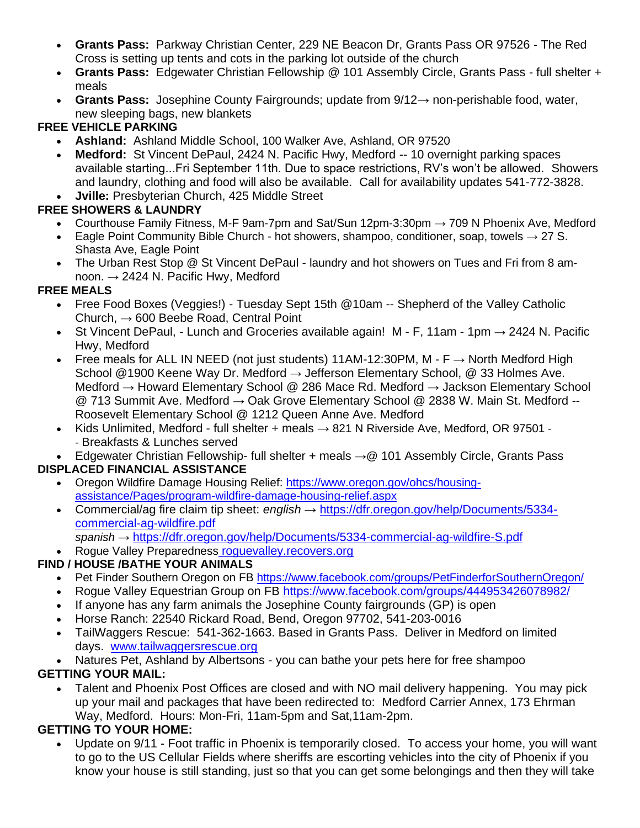- **Grants Pass:** Parkway Christian Center, 229 NE Beacon Dr, Grants Pass OR 97526 The Red Cross is setting up tents and cots in the parking lot outside of the church
- **Grants Pass:** Edgewater Christian Fellowship @ 101 Assembly Circle, Grants Pass full shelter + meals
- **Grants Pass:** Josephine County Fairgrounds; update from 9/12→ non-perishable food, water, new sleeping bags, new blankets

### **FREE VEHICLE PARKING**

- **Ashland:** Ashland Middle School, 100 Walker Ave, Ashland, OR 97520
- **Medford:** St Vincent DePaul, 2424 N. Pacific Hwy, Medford -- 10 overnight parking spaces available starting...Fri September 11th. Due to space restrictions, RV's won't be allowed. Showers and laundry, clothing and food will also be available. Call for availability updates 541-772-3828.
- **Jville:** Presbyterian Church, 425 Middle Street

### **FREE SHOWERS & LAUNDRY**

- Courthouse Family Fitness, M-F 9am-7pm and Sat/Sun 12pm-3:30pm  $\rightarrow$  709 N Phoenix Ave, Medford
- Eagle Point Community Bible Church hot showers, shampoo, conditioner, soap, towels  $\rightarrow$  27 S. Shasta Ave, Eagle Point
- The Urban Rest Stop @ St Vincent DePaul laundry and hot showers on Tues and Fri from 8 amnoon.  $\rightarrow$  2424 N. Pacific Hwy, Medford

#### **FREE MEALS**

- Free Food Boxes (Veggies!) Tuesday Sept 15th @10am -- Shepherd of the Valley Catholic Church,  $\rightarrow$  600 Beebe Road, Central Point
- St Vincent DePaul, Lunch and Groceries available again!  $M$  F, 11am 1pm  $\rightarrow$  2424 N. Pacific Hwy, Medford
- Free meals for ALL IN NEED (not just students) 11AM-12:30PM, M F  $\rightarrow$  North Medford High School @1900 Keene Way Dr. Medford → Jefferson Elementary School, @ 33 Holmes Ave. Medford → Howard Elementary School @ 286 Mace Rd. Medford → Jackson Elementary School @ 713 Summit Ave. Medford  $\rightarrow$  Oak Grove Elementary School @ 2838 W. Main St. Medford --Roosevelt Elementary School @ 1212 Queen Anne Ave. Medford
- Kids Unlimited, Medford full shelter + meals  $\rightarrow$  821 N Riverside Ave, Medford, OR 97501 -- Breakfasts & Lunches served

• Edgewater Christian Fellowship- full shelter + meals  $\rightarrow \textcircled{2}$  101 Assembly Circle, Grants Pass

# **DISPLACED FINANCIAL ASSISTANCE**

- Oregon Wildfire Damage Housing Relief: [https://www.oregon.gov/ohcs/housing](https://www.google.com/url?q=https://www.google.com/url?q%3Dhttps://www.oregon.gov/ohcs/housing-assistance/Pages/program-wildfire-damage-housing-relief.aspx%26amp;sa%3DD%26amp;ust%3D1600106538457000%26amp;usg%3DAOvVaw1oiim2_yi90eN-dzhlbXAs&sa=D&ust=1600106538496000&usg=AFQjCNFk8fvyIiN6J9yDmTXRiaJpUGuTJg)[assistance/Pages/program-wildfire-damage-housing-relief.aspx](https://www.google.com/url?q=https://www.google.com/url?q%3Dhttps://www.oregon.gov/ohcs/housing-assistance/Pages/program-wildfire-damage-housing-relief.aspx%26amp;sa%3DD%26amp;ust%3D1600106538457000%26amp;usg%3DAOvVaw1oiim2_yi90eN-dzhlbXAs&sa=D&ust=1600106538496000&usg=AFQjCNFk8fvyIiN6J9yDmTXRiaJpUGuTJg)
- Commercial/ag fire claim tip sheet: *english* → [https://dfr.oregon.gov/help/Documents/5334](https://www.google.com/url?q=https://www.google.com/url?q%3Dhttps://dfr.oregon.gov/help/Documents/5334-commercial-ag-wildfire.pdf?fbclid%253DIwAR10r_J1pH3-MP9uZ44ywZYLfBfu5IXqUtP_lM5osxbc0cTg-78oruzW_d0%26amp;sa%3DD%26amp;ust%3D1600106538458000%26amp;usg%3DAOvVaw0JXBPRVFg4pD-kDGdfRdBY&sa=D&ust=1600106538496000&usg=AFQjCNFnLzwAcU60pZqTpfJ9KLOTcpB7wg) [commercial-ag-wildfire.pdf](https://www.google.com/url?q=https://www.google.com/url?q%3Dhttps://dfr.oregon.gov/help/Documents/5334-commercial-ag-wildfire.pdf?fbclid%253DIwAR10r_J1pH3-MP9uZ44ywZYLfBfu5IXqUtP_lM5osxbc0cTg-78oruzW_d0%26amp;sa%3DD%26amp;ust%3D1600106538458000%26amp;usg%3DAOvVaw0JXBPRVFg4pD-kDGdfRdBY&sa=D&ust=1600106538496000&usg=AFQjCNFnLzwAcU60pZqTpfJ9KLOTcpB7wg)
	- *spanish* → [https://dfr.oregon.gov/help/Documents/5334-commercial-ag-wildfire-S.pdf](https://www.google.com/url?q=https://www.google.com/url?q%3Dhttps://dfr.oregon.gov/help/Documents/5334-commercial-ag-wildfire-S.pdf?fbclid%253DIwAR10r_J1pH3-MP9uZ44ywZYLfBfu5IXqUtP_lM5osxbc0cTg-78oruzW_d0%26amp;sa%3DD%26amp;ust%3D1600106538458000%26amp;usg%3DAOvVaw2vi9hsJ9S33bA0z-ahX89N&sa=D&ust=1600106538496000&usg=AFQjCNGH3rZygCZ_3W7o0Mx5e4jqgUDdIg)
- Rogue Valley Preparednes[s](https://www.google.com/url?q=https://www.google.com/url?q%3Dhttp://roguevalley.recovers.org/?fbclid%253DIwAR06D6MYZEQVyMURy7UHW1dnyB4zl0okPgBHs464_m4X6TVhnY24AJyHjkc%26amp;sa%3DD%26amp;ust%3D1600106538459000%26amp;usg%3DAOvVaw1oYRwK7h9EdCNPU3p2A5K2&sa=D&ust=1600106538496000&usg=AFQjCNHEQrEb3VJUh-Hy0HoujKFTXBazhg) [roguevalley.recovers.org](https://www.google.com/url?q=https://www.google.com/url?q%3Dhttp://roguevalley.recovers.org/?fbclid%253DIwAR06D6MYZEQVyMURy7UHW1dnyB4zl0okPgBHs464_m4X6TVhnY24AJyHjkc%26amp;sa%3DD%26amp;ust%3D1600106538459000%26amp;usg%3DAOvVaw1oYRwK7h9EdCNPU3p2A5K2&sa=D&ust=1600106538496000&usg=AFQjCNHEQrEb3VJUh-Hy0HoujKFTXBazhg)

# **FIND / HOUSE /BATHE YOUR ANIMALS**

- Pet Finder Southern Oregon on FB [https://www.facebook.com/groups/PetFinderforSouthernOregon/](https://www.google.com/url?q=https://www.google.com/url?q%3Dhttps://www.facebook.com/groups/PetFinderforSouthernOregon/%26amp;sa%3DD%26amp;ust%3D1600106538460000%26amp;usg%3DAOvVaw2JkgAzWhq2yQTAymQSY6xu&sa=D&ust=1600106538496000&usg=AFQjCNF_zyaCyEdqWQ346GloOf6ppnGqPw)
- Rogue Valley Equestrian Group on FB [https://www.facebook.com/groups/444953426078982/](https://www.google.com/url?q=https://www.google.com/url?q%3Dhttps://www.facebook.com/groups/444953426078982/%26amp;sa%3DD%26amp;ust%3D1600106538461000%26amp;usg%3DAOvVaw1hoSBsrwEh2ZvixPMpeH01&sa=D&ust=1600106538497000&usg=AFQjCNEjr68eUykJ4f0Tv11GijWCmKcLGA)
- If anyone has any farm animals the Josephine County fairgrounds (GP) is open
- Horse Ranch: 22540 Rickard Road, Bend, Oregon 97702, 541-203-0016
- TailWaggers Rescue: 541-362-1663. Based in Grants Pass. Deliver in Medford on limited days. [www.tailwaggersrescue.org](https://www.google.com/url?q=https://www.google.com/url?q%3Dhttp://www.tailwaggersrescue.org/?fbclid%253DIwAR0YZM43cCfevv1TNJCdiPkXFOv_XJ09v0K0PHuxk1F7Lm814Qgl7W-qHbY%26amp;sa%3DD%26amp;ust%3D1600106538461000%26amp;usg%3DAOvVaw21JrJHg587vFufV0GxrXOs&sa=D&ust=1600106538497000&usg=AFQjCNExEoyKjbOeUhnXBEDbS3qkWAO-Xg)
- Natures Pet, Ashland by Albertsons you can bathe your pets here for free shampoo

# **GETTING YOUR MAIL:**

• Talent and Phoenix Post Offices are closed and with NO mail delivery happening. You may pick up your mail and packages that have been redirected to: Medford Carrier Annex, 173 Ehrman Way, Medford. Hours: Mon-Fri, 11am-5pm and Sat,11am-2pm.

# **GETTING TO YOUR HOME:**

• Update on 9/11 - Foot traffic in Phoenix is temporarily closed. To access your home, you will want to go to the US Cellular Fields where sheriffs are escorting vehicles into the city of Phoenix if you know your house is still standing, just so that you can get some belongings and then they will take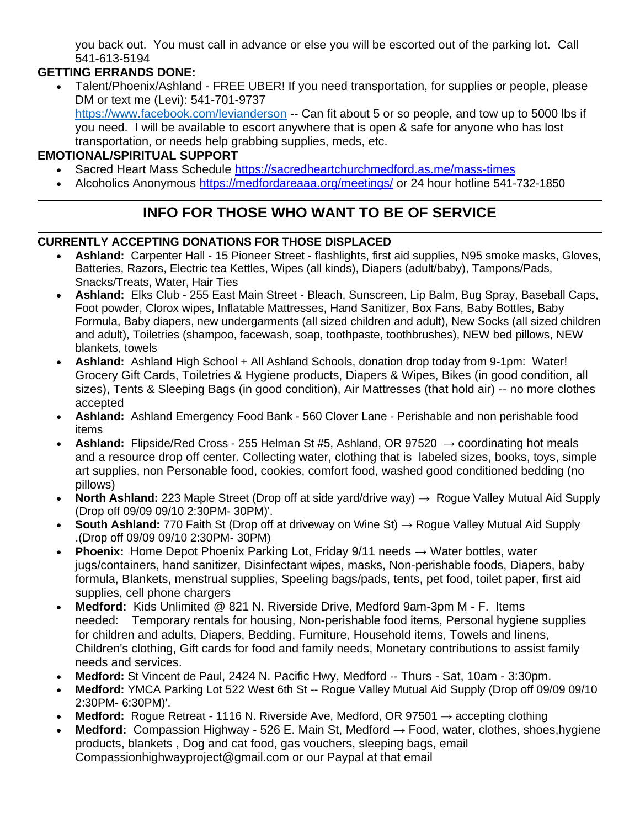you back out. You must call in advance or else you will be escorted out of the parking lot. Call 541-613-5194

# **GETTING ERRANDS DONE:**

• Talent/Phoenix/Ashland - FREE UBER! If you need transportation, for supplies or people, please DM or text me (Levi): 541-701-9737 <https://www.facebook.com/levianderson> -- Can fit about 5 or so people, and tow up to 5000 lbs if you need. I will be available to escort anywhere that is open & safe for anyone who has lost transportation, or needs help grabbing supplies, meds, etc.

#### **EMOTIONAL/SPIRITUAL SUPPORT**

- Sacred Heart Mass Schedule [https://sacredheartchurchmedford.as.me/mass-times](https://www.google.com/url?q=https://www.google.com/url?q%3Dhttps://sacredheartchurchmedford.as.me/mass-times%26amp;sa%3DD%26amp;ust%3D1600106538463000%26amp;usg%3DAOvVaw3nLJ-n-qnXI-h7juG8-8oX&sa=D&ust=1600106538497000&usg=AFQjCNFDfH0s4K6e_M7ZpYavHOYnwOSPtQ)
- Alcoholics Anonymous [https://medfordareaaa.org/meetings/](https://www.google.com/url?q=https://www.google.com/url?q%3Dhttps://medfordareaaa.org/meetings/%26amp;sa%3DD%26amp;ust%3D1600106538463000%26amp;usg%3DAOvVaw3jwsAeg_3WZ6edcMgPKxym&sa=D&ust=1600106538498000&usg=AFQjCNE-hYLvSfiZAHlrfIbM-8fs14uuQg) or 24 hour hotline 541-732-1850

# **INFO FOR THOSE WHO WANT TO BE OF SERVICE**

#### **CURRENTLY ACCEPTING DONATIONS FOR THOSE DISPLACED**

- **Ashland:** Carpenter Hall 15 Pioneer Street flashlights, first aid supplies, N95 smoke masks, Gloves, Batteries, Razors, Electric tea Kettles, Wipes (all kinds), Diapers (adult/baby), Tampons/Pads, Snacks/Treats, Water, Hair Ties
- **Ashland:** Elks Club 255 East Main Street Bleach, Sunscreen, Lip Balm, Bug Spray, Baseball Caps, Foot powder, Clorox wipes, Inflatable Mattresses, Hand Sanitizer, Box Fans, Baby Bottles, Baby Formula, Baby diapers, new undergarments (all sized children and adult), New Socks (all sized children and adult), Toiletries (shampoo, facewash, soap, toothpaste, toothbrushes), NEW bed pillows, NEW blankets, towels
- **Ashland:** Ashland High School + All Ashland Schools, donation drop today from 9-1pm: Water! Grocery Gift Cards, Toiletries & Hygiene products, Diapers & Wipes, Bikes (in good condition, all sizes), Tents & Sleeping Bags (in good condition), Air Mattresses (that hold air) -- no more clothes accepted
- **Ashland:** Ashland Emergency Food Bank 560 Clover Lane Perishable and non perishable food items
- **Ashland:** Flipside/Red Cross 255 Helman St #5, Ashland, OR 97520 → coordinating hot meals and a resource drop off center. Collecting water, clothing that is labeled sizes, books, toys, simple art supplies, non Personable food, cookies, comfort food, washed good conditioned bedding (no pillows)
- **North Ashland:** 223 Maple Street (Drop off at side yard/drive way) → Rogue Valley Mutual Aid Supply (Drop off 09/09 09/10 2:30PM- 30PM)'.
- **South Ashland:** 770 Faith St (Drop off at driveway on Wine St) → Rogue Valley Mutual Aid Supply .(Drop off 09/09 09/10 2:30PM- 30PM)
- **Phoenix:** Home Depot Phoenix Parking Lot, Friday 9/11 needs → Water bottles, water jugs/containers, hand sanitizer, Disinfectant wipes, masks, Non-perishable foods, Diapers, baby formula, Blankets, menstrual supplies, Speeling bags/pads, tents, pet food, toilet paper, first aid supplies, cell phone chargers
- **Medford:** Kids Unlimited @ 821 N. Riverside Drive, Medford 9am-3pm M F. Items needed: Temporary rentals for housing, Non-perishable food items, Personal hygiene supplies for children and adults, Diapers, Bedding, Furniture, Household items, Towels and linens, Children's clothing, Gift cards for food and family needs, Monetary contributions to assist family needs and services.
- **Medford:** St Vincent de Paul, 2424 N. Pacific Hwy, Medford -- Thurs Sat, 10am 3:30pm.
- **Medford:** YMCA Parking Lot 522 West 6th St -- Rogue Valley Mutual Aid Supply (Drop off 09/09 09/10 2:30PM- 6:30PM)'.
- **Medford:** Rogue Retreat 1116 N. Riverside Ave, Medford, OR 97501 → accepting clothing
- **Medford:** Compassion Highway 526 E. Main St, Medford → Food, water, clothes, shoes,hygiene products, blankets , Dog and cat food, gas vouchers, sleeping bags, email Compassionhighwayproject@gmail.com or our Paypal at that email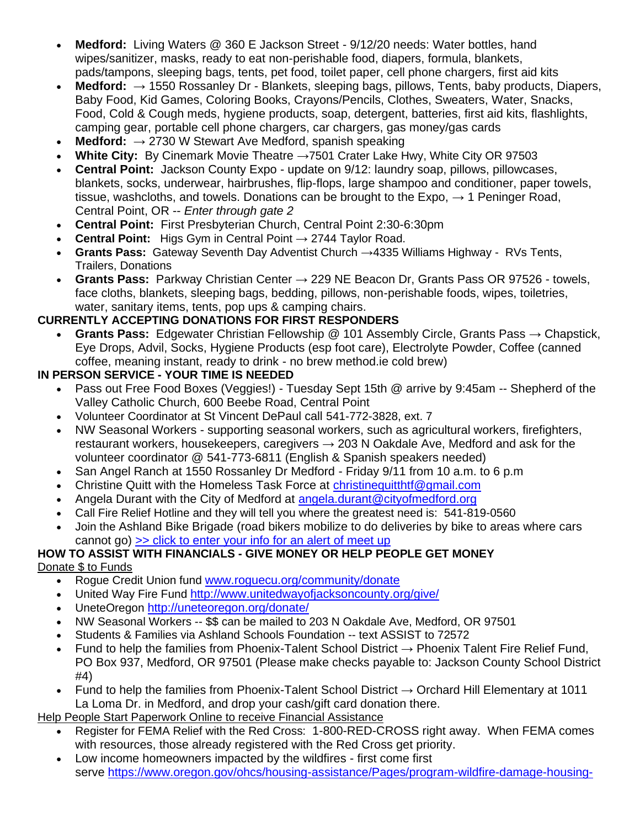- **Medford:** Living Waters @ 360 E Jackson Street 9/12/20 needs: Water bottles, hand wipes/sanitizer, masks, ready to eat non-perishable food, diapers, formula, blankets, pads/tampons, sleeping bags, tents, pet food, toilet paper, cell phone chargers, first aid kits
- **Medford:** → 1550 Rossanley Dr Blankets, sleeping bags, pillows, Tents, baby products, Diapers, Baby Food, Kid Games, Coloring Books, Crayons/Pencils, Clothes, Sweaters, Water, Snacks, Food, Cold & Cough meds, hygiene products, soap, detergent, batteries, first aid kits, flashlights, camping gear, portable cell phone chargers, car chargers, gas money/gas cards
- **Medford:**  $\rightarrow$  2730 W Stewart Ave Medford, spanish speaking
- **White City:** By Cinemark Movie Theatre →7501 Crater Lake Hwy, White City OR 97503
- **Central Point:** Jackson County Expo update on 9/12: laundry soap, pillows, pillowcases, blankets, socks, underwear, hairbrushes, flip-flops, large shampoo and conditioner, paper towels, tissue, washcloths, and towels. Donations can be brought to the Expo,  $\rightarrow$  1 Peninger Road, Central Point, OR -- *Enter through gate 2*
- **Central Point:** First Presbyterian Church, Central Point 2:30-6:30pm
- **Central Point:** Higs Gym in Central Point → 2744 Taylor Road.
- **Grants Pass:** Gateway Seventh Day Adventist Church →4335 Williams Highway RVs Tents, Trailers, Donations
- **Grants Pass:** Parkway Christian Center → 229 NE Beacon Dr, Grants Pass OR 97526 towels, face cloths, blankets, sleeping bags, bedding, pillows, non-perishable foods, wipes, toiletries, water, sanitary items, tents, pop ups & camping chairs.

#### **CURRENTLY ACCEPTING DONATIONS FOR FIRST RESPONDERS**

• **Grants Pass:** Edgewater Christian Fellowship @ 101 Assembly Circle, Grants Pass → Chapstick, Eye Drops, Advil, Socks, Hygiene Products (esp foot care), Electrolyte Powder, Coffee (canned coffee, meaning instant, ready to drink - no brew method.ie cold brew)

#### **IN PERSON SERVICE - YOUR TIME IS NEEDED**

- Pass out Free Food Boxes (Veggies!) Tuesday Sept 15th @ arrive by 9:45am -- Shepherd of the Valley Catholic Church, 600 Beebe Road, Central Point
- Volunteer Coordinator at St Vincent DePaul call 541-772-3828, ext. 7
- NW Seasonal Workers supporting seasonal workers, such as agricultural workers, firefighters, restaurant workers, housekeepers, caregivers  $\rightarrow$  203 N Oakdale Ave, Medford and ask for the volunteer coordinator @ 541-773-6811 (English & Spanish speakers needed)
- San Angel Ranch at 1550 Rossanley Dr Medford Friday 9/11 from 10 a.m. to 6 p.m
- Christine Quitt with the Homeless Task Force at [christinequitthtf@gmail.com](mailto:christinequitthtf@gmail.com)
- Angela Durant with the City of Medford at [angela.durant@cityofmedford.org](mailto:angela.durant@cityofmedford.org)
- Call Fire Relief Hotline and they will tell you where the greatest need is: 541-819-0560
- Join the Ashland Bike Brigade (road bikers mobilize to do deliveries by bike to areas where cars cannot go) [>> click to enter your info for an alert of meet up](https://www.google.com/url?q=https://www.google.com/url?q%3Dhttps://docs.google.com/forms/d/e/1FAIpQLScXuN2P4YTvgLETTalumWUSeLxR6nsd6u-i2vTPWS8HTVMP7w/viewform.%26amp;sa%3DD%26amp;ust%3D1600106538468000%26amp;usg%3DAOvVaw0Roo_LYK04y-J-ahX8Q1kX&sa=D&ust=1600106538499000&usg=AFQjCNHGP7ODHzVQ6tKR8JMUWzF-xD3vtg)

# **HOW TO ASSIST WITH FINANCIALS - GIVE MONEY OR HELP PEOPLE GET MONEY**

Donate \$ to Funds

- Rogue Credit Union fund [www.roguecu.org/community/donate](https://www.google.com/url?q=https://www.google.com/url?q%3Dhttp://www.roguecu.org/community/donate?fbclid%253DIwAR10r_J1pH3-MP9uZ44ywZYLfBfu5IXqUtP_lM5osxbc0cTg-78oruzW_d0%26amp;sa%3DD%26amp;ust%3D1600106538469000%26amp;usg%3DAOvVaw3W1qftL1NDZyo9Bd58fRjK&sa=D&ust=1600106538500000&usg=AFQjCNF2WmuBZpnKtpR7qpHFIn1G8Dplqw)
- United Way Fire Fund [http://www.unitedwayofjacksoncounty.org/give/](https://www.google.com/url?q=https://www.google.com/url?q%3Dhttp://www.unitedwayofjacksoncounty.org/give/?fbclid%253DIwAR06D6MYZEQVyMURy7UHW1dnyB4zl0okPgBHs464_m4X6TVhnY24AJyHjkc%26amp;sa%3DD%26amp;ust%3D1600106538470000%26amp;usg%3DAOvVaw3GAGReezCCMgYVWKrFxBsm&sa=D&ust=1600106538500000&usg=AFQjCNEYTur54SnGcAsAvPQBo_tah4ipRw)
- UneteOregon [http://uneteoregon.org/donate/](https://www.google.com/url?q=https://www.google.com/url?q%3Dhttp://uneteoregon.org/donate/?fbclid%253DIwAR28KYFPwhu_rr8im4gEoGZfujbtkPXWKNDp0YLRA4M0vahdcuZe2e4l440%26amp;sa%3DD%26amp;ust%3D1600106538470000%26amp;usg%3DAOvVaw2fJe5iN-DZONgBgYshvqvf&sa=D&ust=1600106538500000&usg=AFQjCNHuz0ty_golxOJfTYjxHCm1UIdyPw)
- NW Seasonal Workers -- \$\$ can be mailed to 203 N Oakdale Ave, Medford, OR 97501
- Students & Families via Ashland Schools Foundation -- text ASSIST to 72572
- Fund to help the families from Phoenix-Talent School District  $\rightarrow$  Phoenix Talent Fire Relief Fund, PO Box 937, Medford, OR 97501 (Please make checks payable to: Jackson County School District #4)
- Fund to help the families from Phoenix-Talent School District  $\rightarrow$  Orchard Hill Elementary at 1011 La Loma Dr. in Medford, and drop your cash/gift card donation there.

Help People Start Paperwork Online to receive Financial Assistance

- Register for FEMA Relief with the Red Cross: 1-800-RED-CROSS right away. When FEMA comes with resources, those already registered with the Red Cross get priority.
- Low income homeowners impacted by the wildfires first come first serve [https://www.oregon.gov/ohcs/housing-assistance/Pages/program-wildfire-damage-housing-](https://www.google.com/url?q=https://www.google.com/url?q%3Dhttps://www.oregon.gov/ohcs/housing-assistance/Pages/program-wildfire-damage-housing-relief.aspx?fbclid%253DIwAR10r_J1pH3-MP9uZ44ywZYLfBfu5IXqUtP_lM5osxbc0cTg-78oruzW_d0%26amp;sa%3DD%26amp;ust%3D1600106538471000%26amp;usg%3DAOvVaw1PPQzAvkpgi2OfxSmgoJFq&sa=D&ust=1600106538500000&usg=AFQjCNELTwqnOTh2e0uZC0pJ63DNU2yzTQ)